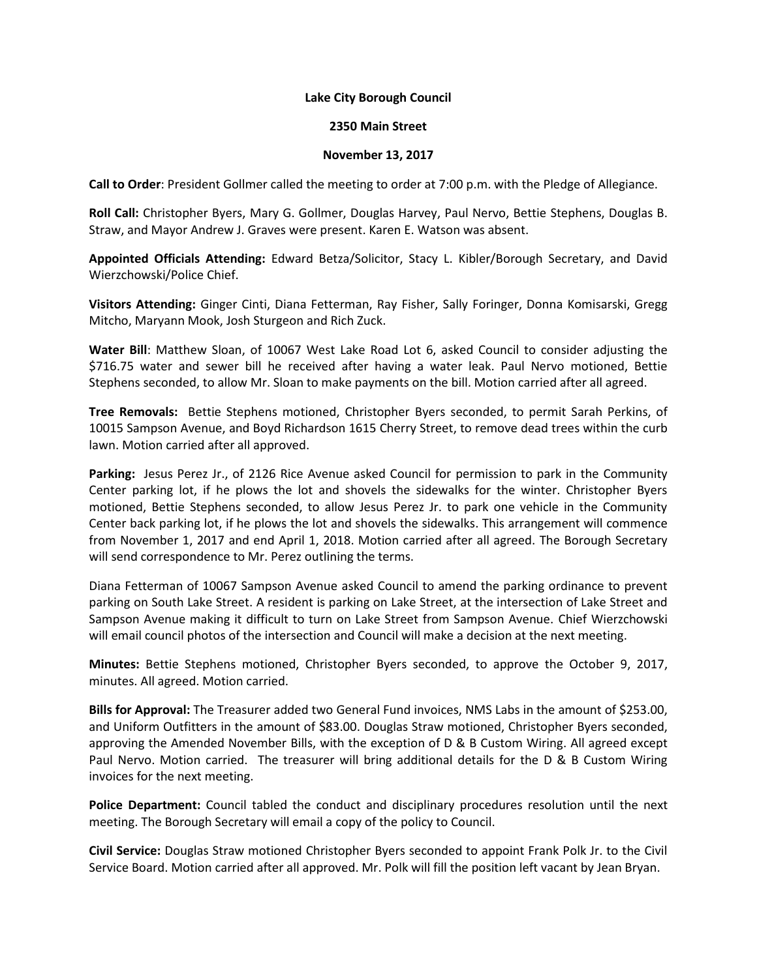## **Lake City Borough Council**

## **2350 Main Street**

## **November 13, 2017**

**Call to Order**: President Gollmer called the meeting to order at 7:00 p.m. with the Pledge of Allegiance.

**Roll Call:** Christopher Byers, Mary G. Gollmer, Douglas Harvey, Paul Nervo, Bettie Stephens, Douglas B. Straw, and Mayor Andrew J. Graves were present. Karen E. Watson was absent.

**Appointed Officials Attending:** Edward Betza/Solicitor, Stacy L. Kibler/Borough Secretary, and David Wierzchowski/Police Chief.

**Visitors Attending:** Ginger Cinti, Diana Fetterman, Ray Fisher, Sally Foringer, Donna Komisarski, Gregg Mitcho, Maryann Mook, Josh Sturgeon and Rich Zuck.

**Water Bill**: Matthew Sloan, of 10067 West Lake Road Lot 6, asked Council to consider adjusting the \$716.75 water and sewer bill he received after having a water leak. Paul Nervo motioned, Bettie Stephens seconded, to allow Mr. Sloan to make payments on the bill. Motion carried after all agreed.

**Tree Removals:** Bettie Stephens motioned, Christopher Byers seconded, to permit Sarah Perkins, of 10015 Sampson Avenue, and Boyd Richardson 1615 Cherry Street, to remove dead trees within the curb lawn. Motion carried after all approved.

**Parking:** Jesus Perez Jr., of 2126 Rice Avenue asked Council for permission to park in the Community Center parking lot, if he plows the lot and shovels the sidewalks for the winter. Christopher Byers motioned, Bettie Stephens seconded, to allow Jesus Perez Jr. to park one vehicle in the Community Center back parking lot, if he plows the lot and shovels the sidewalks. This arrangement will commence from November 1, 2017 and end April 1, 2018. Motion carried after all agreed. The Borough Secretary will send correspondence to Mr. Perez outlining the terms.

Diana Fetterman of 10067 Sampson Avenue asked Council to amend the parking ordinance to prevent parking on South Lake Street. A resident is parking on Lake Street, at the intersection of Lake Street and Sampson Avenue making it difficult to turn on Lake Street from Sampson Avenue. Chief Wierzchowski will email council photos of the intersection and Council will make a decision at the next meeting.

**Minutes:** Bettie Stephens motioned, Christopher Byers seconded, to approve the October 9, 2017, minutes. All agreed. Motion carried.

**Bills for Approval:** The Treasurer added two General Fund invoices, NMS Labs in the amount of \$253.00, and Uniform Outfitters in the amount of \$83.00. Douglas Straw motioned, Christopher Byers seconded, approving the Amended November Bills, with the exception of D & B Custom Wiring. All agreed except Paul Nervo. Motion carried. The treasurer will bring additional details for the D & B Custom Wiring invoices for the next meeting.

**Police Department:** Council tabled the conduct and disciplinary procedures resolution until the next meeting. The Borough Secretary will email a copy of the policy to Council.

**Civil Service:** Douglas Straw motioned Christopher Byers seconded to appoint Frank Polk Jr. to the Civil Service Board. Motion carried after all approved. Mr. Polk will fill the position left vacant by Jean Bryan.